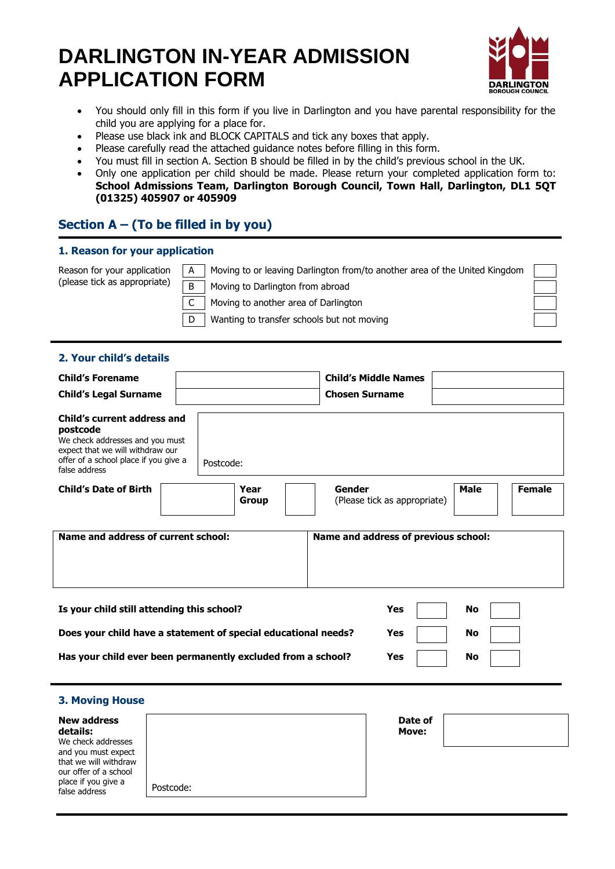# **DARLINGTON IN-YEAR ADMISSION APPLICATION FORM**



- You should only fill in this form if you live in Darlington and you have parental responsibility for the child you are applying for a place for.
- Please use black ink and BLOCK CAPITALS and tick any boxes that apply.
- Please carefully read the attached guidance notes before filling in this form.
- You must fill in section A. Section B should be filled in by the child's previous school in the UK.
- Only one application per child should be made. Please return your completed application form to: **School Admissions Team, Darlington Borough Council, Town Hall, Darlington, DL1 5QT (01325) 405907 or 405909**

# **Section A – (To be filled in by you)**

## **1. Reason for your application**

| Reason for your application  | A | Moving to or leaving Darlington from/to another area of the United Kingdom |  |
|------------------------------|---|----------------------------------------------------------------------------|--|
| (please tick as appropriate) | R | Moving to Darlington from abroad                                           |  |
|                              |   | Moving to another area of Darlington                                       |  |
|                              |   | Wanting to transfer schools but not moving                                 |  |

## **2. Your child's details**

false address

Postcode:

| <b>Child's Forename</b>                                                                                                                                                  |          |                                                                | <b>Child's Middle Names</b>            |                              |
|--------------------------------------------------------------------------------------------------------------------------------------------------------------------------|----------|----------------------------------------------------------------|----------------------------------------|------------------------------|
| <b>Child's Legal Surname</b>                                                                                                                                             |          |                                                                | <b>Chosen Surname</b>                  |                              |
| Child's current address and<br>postcode<br>We check addresses and you must<br>expect that we will withdraw our<br>offer of a school place if you give a<br>false address |          | Postcode:                                                      |                                        |                              |
| <b>Child's Date of Birth</b>                                                                                                                                             |          | Year<br><b>Group</b>                                           | Gender<br>(Please tick as appropriate) | <b>Male</b><br><b>Female</b> |
| Name and address of current school:                                                                                                                                      |          |                                                                | Name and address of previous school:   |                              |
|                                                                                                                                                                          |          |                                                                |                                        |                              |
| Is your child still attending this school?                                                                                                                               |          |                                                                | <b>Yes</b>                             | <b>No</b>                    |
|                                                                                                                                                                          |          | Does your child have a statement of special educational needs? | Yes                                    | <b>No</b>                    |
|                                                                                                                                                                          |          | Has your child ever been permanently excluded from a school?   | Yes                                    | <b>No</b>                    |
| <b>3. Moving House</b>                                                                                                                                                   |          |                                                                |                                        |                              |
| <b>New address</b><br>details:<br>We check addresses<br>and you must expect<br>that we will withdraw<br>our offer of a school<br>place if you give a                     | $D = -1$ |                                                                | Date of<br>Move:                       |                              |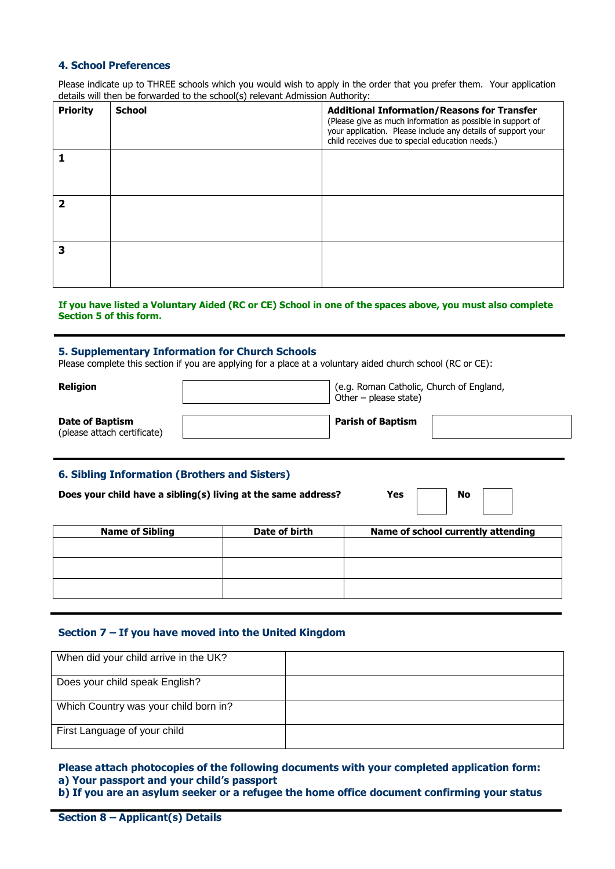## **4. School Preferences**

Please indicate up to THREE schools which you would wish to apply in the order that you prefer them. Your application details will then be forwarded to the school(s) relevant Admission Authority:

| <b>Priority</b> | <b>School</b> | <b>Additional Information/Reasons for Transfer</b><br>(Please give as much information as possible in support of<br>your application. Please include any details of support your<br>child receives due to special education needs.) |
|-----------------|---------------|-------------------------------------------------------------------------------------------------------------------------------------------------------------------------------------------------------------------------------------|
|                 |               |                                                                                                                                                                                                                                     |
|                 |               |                                                                                                                                                                                                                                     |
|                 |               |                                                                                                                                                                                                                                     |

#### **If you have listed a Voluntary Aided (RC or CE) School in one of the spaces above, you must also complete Section 5 of this form.**

#### **5. Supplementary Information for Church Schools**

Please complete this section if you are applying for a place at a voluntary aided church school (RC or CE):

| <b>Religion</b>                                       |  | (e.g. Roman Catholic, Church of England,<br>Other – please state) |  |
|-------------------------------------------------------|--|-------------------------------------------------------------------|--|
| <b>Date of Baptism</b><br>(please attach certificate) |  | <b>Parish of Baptism</b>                                          |  |

#### **6. Sibling Information (Brothers and Sisters)**

**Does your child have a sibling(s) living at the same address?** Yes **Yes** No

**Name of Sibling Date of birth Name of school currently attending**

#### **Section 7 – If you have moved into the United Kingdom**

| When did your child arrive in the UK? |  |
|---------------------------------------|--|
| Does your child speak English?        |  |
| Which Country was your child born in? |  |
| First Language of your child          |  |

## **Please attach photocopies of the following documents with your completed application form: a) Your passport and your child's passport**

**b) If you are an asylum seeker or a refugee the home office document confirming your status**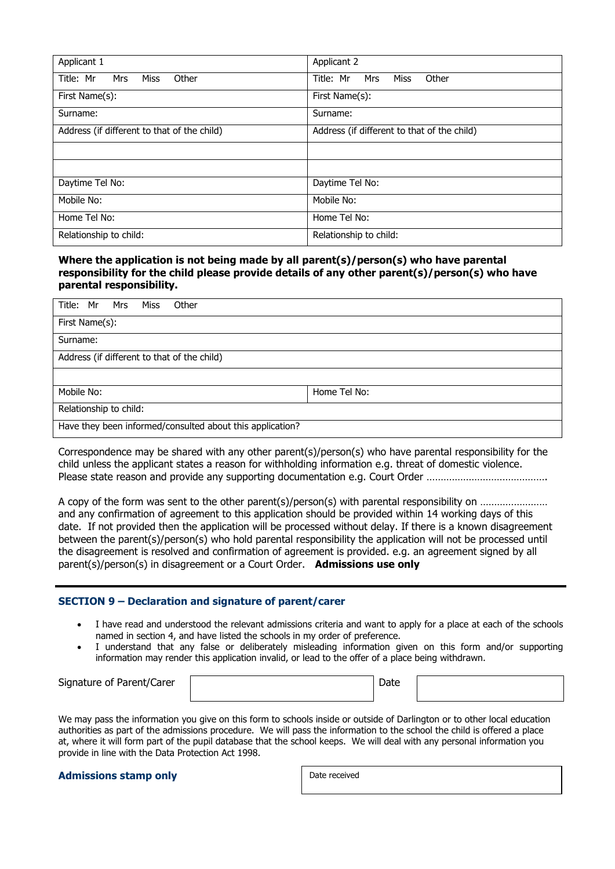| Applicant 1                                 | Applicant 2                                 |
|---------------------------------------------|---------------------------------------------|
| Title: Mr<br><b>Miss</b><br>Other<br>Mrs    | Title: Mr<br>Mrs<br>Miss<br>Other           |
| First Name(s):                              | First Name(s):                              |
| Surname:                                    | Surname:                                    |
| Address (if different to that of the child) | Address (if different to that of the child) |
|                                             |                                             |
|                                             |                                             |
| Daytime Tel No:                             | Daytime Tel No:                             |
| Mobile No:                                  | Mobile No:                                  |
| Home Tel No:                                | Home Tel No:                                |
| Relationship to child:                      | Relationship to child:                      |

## **Where the application is not being made by all parent(s)/person(s) who have parental responsibility for the child please provide details of any other parent(s)/person(s) who have parental responsibility.**

| Title: Mr<br>Mrs                            | Other<br>Miss                                             |
|---------------------------------------------|-----------------------------------------------------------|
| First Name(s):                              |                                                           |
| Surname:                                    |                                                           |
| Address (if different to that of the child) |                                                           |
|                                             |                                                           |
| Mobile No:                                  | Home Tel No:                                              |
| Relationship to child:                      |                                                           |
|                                             | Have they been informed/consulted about this application? |
|                                             |                                                           |

Correspondence may be shared with any other parent(s)/person(s) who have parental responsibility for the child unless the applicant states a reason for withholding information e.g. threat of domestic violence. Please state reason and provide any supporting documentation e.g. Court Order ………………………………………

A copy of the form was sent to the other parent(s)/person(s) with parental responsibility on …………………… and any confirmation of agreement to this application should be provided within 14 working days of this date. If not provided then the application will be processed without delay. If there is a known disagreement between the parent(s)/person(s) who hold parental responsibility the application will not be processed until the disagreement is resolved and confirmation of agreement is provided. e.g. an agreement signed by all parent(s)/person(s) in disagreement or a Court Order. **Admissions use only**

## **SECTION 9 – Declaration and signature of parent/carer**

- I have read and understood the relevant admissions criteria and want to apply for a place at each of the schools named in section 4, and have listed the schools in my order of preference.
- I understand that any false or deliberately misleading information given on this form and/or supporting information may render this application invalid, or lead to the offer of a place being withdrawn.

Signature of Parent/Carer

| ີ |  |
|---|--|
|   |  |

We may pass the information you give on this form to schools inside or outside of Darlington or to other local education authorities as part of the admissions procedure. We will pass the information to the school the child is offered a place at, where it will form part of the pupil database that the school keeps. We will deal with any personal information you provide in line with the Data Protection Act 1998.

## **Admissions stamp only** Date received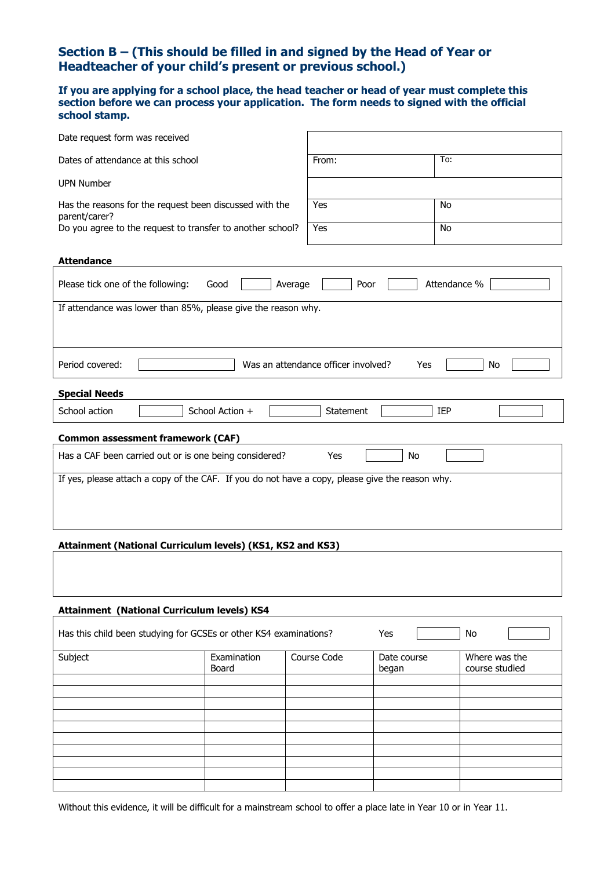# **Section B – (This should be filled in and signed by the Head of Year or Headteacher of your child's present or previous school.)**

**If you are applying for a school place, the head teacher or head of year must complete this section before we can process your application. The form needs to signed with the official school stamp.**

| Date request form was received                                           |       |     |
|--------------------------------------------------------------------------|-------|-----|
| Dates of attendance at this school                                       | From: | To: |
| <b>UPN Number</b>                                                        |       |     |
| Has the reasons for the request been discussed with the<br>parent/carer? | Yes   | No  |
| Do you agree to the request to transfer to another school?               | Yes   | No  |

| Please tick one of the following:                             | Good | Average | Poor | Attendance % |
|---------------------------------------------------------------|------|---------|------|--------------|
| If attendance was lower than 85%, please give the reason why. |      |         |      |              |
|                                                               |      |         |      |              |
|                                                               |      |         |      |              |

Period covered:  $\parallel$  No  $\parallel$  Was an attendance officer involved? Yes  $\parallel$  No  $\parallel$  No

#### **Special Needs**

**Attendance**

| -                              | --            | $- - -$   |  |
|--------------------------------|---------------|-----------|--|
| ~<br>l IOI<br>71<br>---------- | าเก<br>-<br>. | --<br>--- |  |

| <b>Common assessment framework (CAF)</b>                                                        |     |    |  |  |
|-------------------------------------------------------------------------------------------------|-----|----|--|--|
| Has a CAF been carried out or is one being considered?                                          | Yes | No |  |  |
| If yes, please attach a copy of the CAF. If you do not have a copy, please give the reason why. |     |    |  |  |

## **Attainment (National Curriculum levels) (KS1, KS2 and KS3)**

# **Attainment (National Curriculum levels) KS4**

| Has this child been studying for GCSEs or other KS4 examinations? |                      |             | Yes                  | No                              |
|-------------------------------------------------------------------|----------------------|-------------|----------------------|---------------------------------|
| Subject                                                           | Examination<br>Board | Course Code | Date course<br>began | Where was the<br>course studied |
|                                                                   |                      |             |                      |                                 |
|                                                                   |                      |             |                      |                                 |
|                                                                   |                      |             |                      |                                 |
|                                                                   |                      |             |                      |                                 |
|                                                                   |                      |             |                      |                                 |
|                                                                   |                      |             |                      |                                 |
|                                                                   |                      |             |                      |                                 |
|                                                                   |                      |             |                      |                                 |

Without this evidence, it will be difficult for a mainstream school to offer a place late in Year 10 or in Year 11.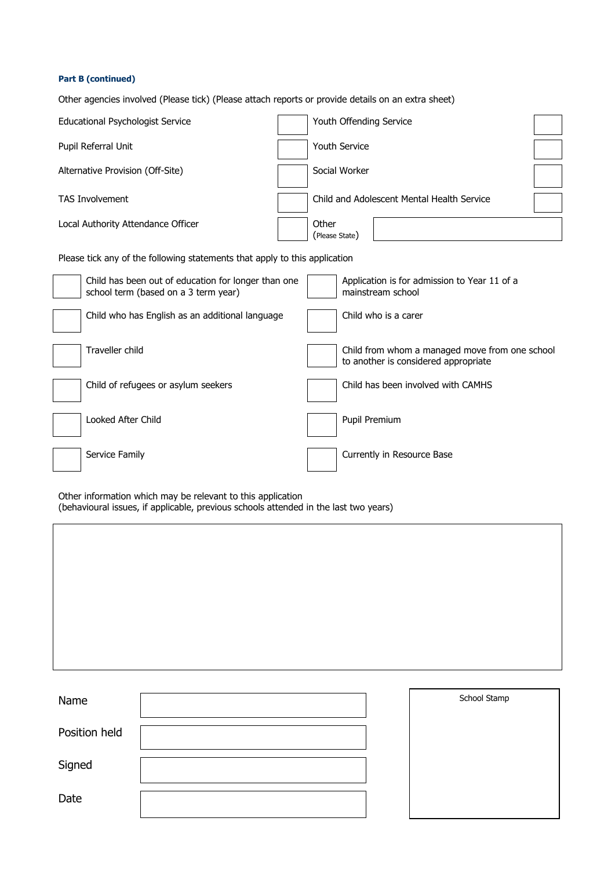## **Part B (continued)**

Other agencies involved (Please tick) (Please attach reports or provide details on an extra sheet)

| Educational Psychologist Service   | Youth Offending Service                    |
|------------------------------------|--------------------------------------------|
| Pupil Referral Unit                | Youth Service                              |
| Alternative Provision (Off-Site)   | Social Worker                              |
| <b>TAS Involvement</b>             | Child and Adolescent Mental Health Service |
| Local Authority Attendance Officer | Other<br>(Please State)                    |

Please tick any of the following statements that apply to this application

| Child has been out of education for longer than one<br>school term (based on a 3 term year) | Application is for admission to Year 11 of a<br>mainstream school                      |
|---------------------------------------------------------------------------------------------|----------------------------------------------------------------------------------------|
| Child who has English as an additional language                                             | Child who is a carer                                                                   |
| Traveller child                                                                             | Child from whom a managed move from one school<br>to another is considered appropriate |
| Child of refugees or asylum seekers                                                         | Child has been involved with CAMHS                                                     |
| Looked After Child                                                                          | Pupil Premium                                                                          |
| Service Family                                                                              | Currently in Resource Base                                                             |

Other information which may be relevant to this application

(behavioural issues, if applicable, previous schools attended in the last two years)

| Name          |  | School Stamp |
|---------------|--|--------------|
| Position held |  |              |
| Signed        |  |              |
| Date          |  |              |